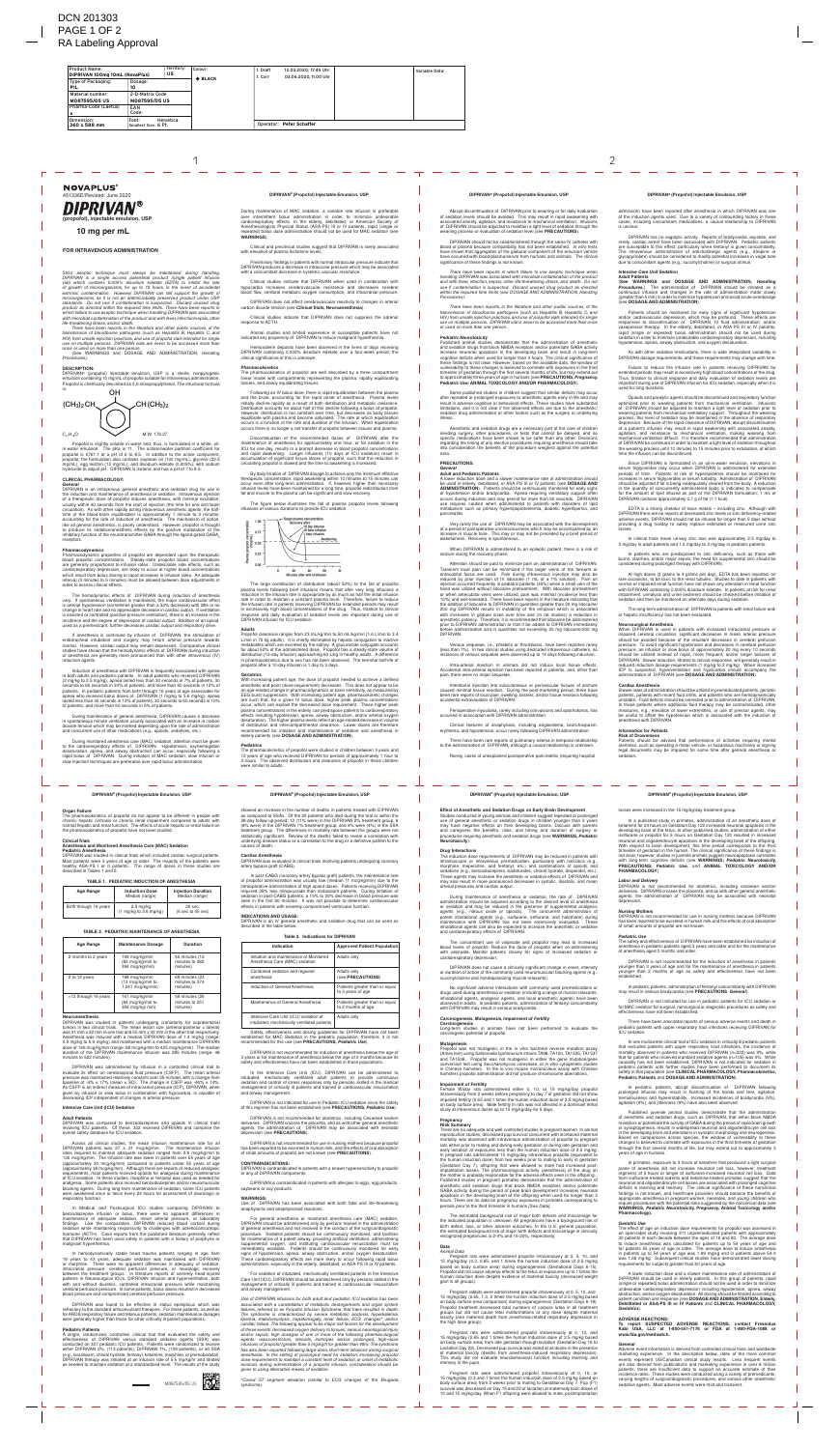## **FOR INTRAVENOUS ADMINISTRATION**

Strict aseptic technique must always be maintained during handling. DIPRIVAN is a single access parenteral product (single patient infusion<br>vial) which contains 0.005% disodium edetate (EDTA) to inhibit the rate<br>of growth of microorganisms, for up to 12 hours, in the event of accidental *extrinsic contamination. However, DIPRIVAN can still support the growth of* microorganisms, as it is not an antimicrobially preserved product under USP<br>standards. Do not use if contamination is suspected. Discard unused drug<br>product as directed within the required time limits. There have been repo with microbial contamination of the product and with fever, infection/sepsis, other *life-threatening illness, and/or death. There have been reports, in the literature and other public sources, of the* 

transmission of bloodborne pathogens (such as Hepatitis B, Hepatitis C, and<br>HIV) from unsafe injection practices, and use of propofol vials intended for single<br>use on multiple persons. DIPRIVAN vials are never to be access *once or used on more than one person.* (See WARNINGS and DOSAGE AND ADMINISTRATION, *Handling* 

Propofol is slightly soluble in water and, thus, is formulated in a white, oilin-water emulsion. The pKa is 11. The octanol/water partition coefficient for<br>propofol is 6761:1 at a pH of 6 to 8.5. In addition to the active component,<br>propofol, the formulation also contains soybean oil (100 mg/mL), gl roxide to adjust pH. DIPRIVAN is isotonic and has a pH of 7 to 8.5.

*Procedures).*

#### **DESCRIPTION:**

DIPRIVAN® (propofol) injectable emulsion, USP is a sterile, nonpyrogenic<br>emulsion containing 10 mg/mL of propofol suitable for intravenous administration.<br>Propofol is chemically described as 2,6-diisopropylphenol. The stru

DIPRIVAN is an intravenous general anesthetic and sedation drug for use in<br>the induction and maintenance of anesthesia or sedation. Intravenous injection<br>of a therapeutic dose of propofol induces anesthesia, with minimal e usually within 40 seconds from the start of injection (the time for one arm-brain<br>circulation). As with other rapidly acting intravenous anesthetic agents, the half-<br>time of the blood-brain equilibration is approximately 1 like all general anesthetics, is poorly understood. However, propofol is thought<br>to produce its sedative/anesthetic effects by the positive modulation of the<br>inhibitory function of the neurotransmitter GABA through the lig receptors.

Pharmacodynamic properties of propofol are dependent upon the therapeutic blood propofol concentrations. Steady-state propofol blood concentrations<br>are generally proportional to infusion rates. Undesirable side effects, such as<br>cardiorespiratory depression, are likely to occur at higher blood co interval (3 minutes to 5 minutes) must be allowed between dose adjustments in order to assess clinical effects.

If anesthesia is continued by infusion of DIPRIVAN, the stimulation of endotracheal intubation and surgery may return arterial pressure towards<br>normal. However, cardiac output may remain depressed. Comparative clinical<br>studies have shown that the hemodynamic effects of DIPRIVAN during inducti of anesthesia are generally more pronounced than with other intravenous (IV) induction agents

#### **CLINICAL PHARMACOLOGY:** *General*

Induction of anesthesia with DIPRIVAN is frequently associated with apnea in both adults and pediatric patients. In adult patients who received DIPRIVAN<br>(2 mg/kg to 2.5 mg/kg), apnea lasted less than 30 seconds in 7% of patients, 30<br>seconds to 60 seconds in 24% of patients, and more than 60 seco apnea who received bolus doses of DIPRIVAN (1 mg/kg to 3.6 mg/kg), apnea<br>lasted less than 30 seconds in 12% of patients, 30 seconds to 60 seconds in 10%<br>of patients, and more than 60 seconds in 5% of patients.

During maintenance of general anesthesia, DIPRIVAN causes a decrease<br>in spontaneous minute ventilation usually associated with an increase in carbon<br>dioxide tension which may be marked depending upon the rate of administra and concurrent use of other medications (e.g., opioids, sedatives, etc.).

During monitored anesthesia care (MAC) sedation, attention must be given to the cardiorespiratory effects of DIPRIVAN. Hypotension, oxyhemoglobin desaturation, apnea, and airway obstruction can occur, especially following a<br>rapid bolus of DIPRIVAN. During initiation of MAC sedation, slow infusion or<br>slow injection techniques are preferable over rapid bolus administr

#### *Pharmacodynamics*

The hemodynamic effects of DIPRIVAN during induction of anesthesia vary. If spontaneous ventilation is maintained, the major cardiovascular effect<br>is arterial hypotension (sometimes greater than a 30% decrease) with little or no<br>change in heart rate and no appreciable decrease in cardiac is assisted or controlled (positive pressure ventilation), there is an increase in the incidence and the degree of depression of cardiac output. Addition of an opioid, used as a premedicant, further decreases cardiac output and respiratory drive.

In Medical and Postsurgical ICU studies comparing DIPRIVAN to benzodiazepine infusion or bolus, there were no apparent differences in maintenance of adequate sedation, mean arterial pressure, or laboratory findings. Like the comparators, DIPRIVAN reduced blood cortisol during sedation while maintaining responsivity to challenges with adrenocorticotropic hormone (ACTH). Case reports from the published literature generally reflect that DIPRIVAN has been used safely in patients with a history of porphyria or malignant hyperthermia.

## **Organ Failure**

The pharmacokinetics of propofol do not appear to be different in people with chronic hepatic cirrhosis or chronic renal impairment compared to adults with normal hepatic and renal function. The effects of acute hepatic or renal failure on the pharmacokinetics of propofol have not been studied.

> DIPRIVAN was evaluated in clinical trials involving patients undergoing coronary artery bypass graft (CABG).

### *Clinical Trials* **Anesthesia and Monitored Anesthesia Care (MAC) Sedation**

## **Pediatric Anesthesia**

DIPRIVAN was studied in clinical trials which included cardiac surgical patients. ents were 3 years of age or older. The majority of the patients were healthy ASA-PS I or II patients. The range of doses in these studies are described in Tables 1 and 2.

### **TABLE 1. PEDIATRIC INDUCTION OF ANESTHESIA**

| Age Range              | <b>Induction Dose</b><br>Median (range)                           | <b>Injection Duration</b><br>Median (range)     |
|------------------------|-------------------------------------------------------------------|-------------------------------------------------|
| Birth through 16 years | $2.5 \text{ mg/kg}$<br>$(1 \text{ mg/kg}$ to $3.6 \text{ mg/kg})$ | 20 sec.<br>$(6 \text{ sec to } 45 \text{ sec})$ |

#### **TABLE 2. PEDIATRIC MAINTENANCE OF ANESTHESIA**

| Age Range            | <b>Maintenance Dosage</b>                                | Duration                                     |
|----------------------|----------------------------------------------------------|----------------------------------------------|
| 2 months to 2 years  | 199 mcg/kg/min<br>(82 mcg/kg/min to<br>394 mcg/kg/min)   | 65 minutes (12<br>minutes to 282<br>minutes) |
| 2 to 12 years        | 188 mcg/kg/min<br>(12 mcg/kg/min to<br>1,041 mcg/kg/min) | 69 minutes (23<br>minutes to 374<br>minutes) |
| >12 through 16 years | 161 mcg/kg/min<br>(84 mcg/kg/min to<br>359 mcg/kg/ min)  | 69 minutes (26<br>minutes to 251<br>minutes) |

#### **Neuroanesthesia**

DIPRIVAN was studied in patients undergoing craniotomy for supratentorial tumors in two clinical trials. The mean lesion size (anterior/posterior x lateral)<br>was 31 mm x 32 mm in one trial and 55 mm x 42 mm in the other trial respectively.<br>Anesthesia was induced with a median DIPRIVAN dose of 1.4 0.9 mg/kg to 6.9 mg/kg) and maintained with a median maintenance DIPRIVAN<br>dose of 146 mcg/kg/min (range: 68 mcg/kg/min to 425 mcg/kg/min). The median<br>duration of the DIPRIVAN maintenance infusion was 285 minutes (range: 48 minutes to 622 minutes).

> DIPRIVAN is contraindicated in patients with a known hypersensitivity to propofol or any of DIPRIVAN components.

udd.<br>DIPRIVAN has been associated with both fatal and life-threatening anaphylactic and anaphylactoid reactions.

DIPRIVAN was administered by infusion in a controlled clinical trial to evaluate its effect on cerebrospinal fluid pressure (CSFP). The mean arterial pressure was maintained relatively constant over 25 minutes with a change from baseline of -4% ± 17% (mean ± SD). The change in CSFP was -46% ± 14%.<br>As CSFP is an indirect measure of intracranial pressure (ICP), DIPRIVAN, when<br>given by infusion or slow bolus in combination with hypocarbia, is capable decreasing ICP independent of changes in arterial pressure.

### **Intensive Care Unit (ICU) Sedation**

#### **Adult Patients**

DIPRIVAN was compared to benzodiazepines and opioids in clinical trials involving ICU patients. Of these, 302 received DIPRIVAN and comprise the overall safety database for ICU sedation.

Across all clinical studies, the mean infusion maintenance rate for all DIPRIVAN patients was  $27 \pm 21$  mcg/kg/min. The maintenance infusion rates required to maintain adequate sedation ranged from 2.8 mcg/kg/min to 130 mcg/kg/min. The infusion rate was lower in patients over 55 years of age<br>(approximately 20 mcg/kg/min) compared to patients under 55 years of age<br>(approximately 38 mcg/kg/min). Although there are reports of reduced ana requirements, most patients received opioids for analgesia during maintenance<br>of ICU sedation. In these studies, morphine or fentanyl was used as needed for<br>analgesia. Some patients also received benzodiazepines and/or ne blocking agents. During long-term maintenance of sedation, some ICU patients were awakened once or twice every 24 hours for assessment of neurologic or iratory function

Abrupt discontinuation of DIPRIVAN prior to weaning or for daily evaluation<br>of sedation levels should be avoided. This may result in rapid awakening with<br>associated anxiety, agitation, and resistance to mechanical ventilat of DIPRIVAN should be adjusted to maintain a light level of sedation through the weaning process or evaluation of sedation level (see **PRECAUTIONS**).

Some published studies in children suggest that similar deficits may occur after repeated or prolonged exposures to anesthetic agents early in life and may<br>result in adverse cognitive or behavioral effects. These studies have substantial<br>limitations, and it is not clear if the observed effects ar sedation drug administration or other factors such as the surgery or underlying illness.

In hemodynamically stable head trauma patients ranging in age from 19 years to 43 years, adequate sedation was maintained with DIPRIVAN or morphine. There were no apparent differences in adequacy of sedation, intracranial pressure, cerebral perfusion pressure, or neurologic recovery between the treatment groups. In literature reports of severely head-injured patients in Neurosurgical ICUs, DIPRIVAN infusion and hyperventilation, both with and without diuretics, controlled intracranial pressure while maintaining cerebral perfusion pressure. In some patients, bolus doses resulted in decreased blood pressure and compromised cerebral perfusion pressure.

A lower induction dose and a slower maintenance rate of administration should<br>be used in elderly, debilitated, or ASA-PS III or IV patients (see **DOSAGE AND**<br>**ADMINISTRATION**). Patients should be continuously monitored for of hypotension and/or bradycardia. Apnea requiring ventilatory support often occurs during induction and may persist for more than 60 seconds. DIPRIVAN use requires caution when administered to patients with disorders of lipid metabolism such as primary hyperlipoproteinemia, diabetic hyperlipemia, and pancreatitis.

DIPRIVAN was found to be effective in status epilepticus which was refractory to the standard anticonvulsant therapies. For these patients, as well as for ARDS/respiratory failure and tetanus patients, sedation maintenance dosages were generally higher than those for other critically ill patient populations.

#### **Pediatric Patients**

A single, randomized, controlled, clinical trial that evaluated the safety and effectiveness of DIPRIVAN versus standard sedative agents (SSA) was conducted on 327 pediatric ICU patients. Patients were randomized to receive either DIPRIVAN 2%, (113 patients), DIPRIVAN 1%, (109 patients), or an SSA<br>(e.g., lorazepam, chloral hydrate, fentanyl, ketamine, morphine, or phenobarbital).<br>DIPRIVAN therapy was initiated at an infusion rate of 5.5 mg/kg as needed to maintain sedation at a standardized level. The results of the study

showed an increase in the number of deaths in patients treated with DIPRIVAN as compared to SSAs. Of the 25 patients who died during the trial or within the 28-day follow-up period: 12 (11% were) in the DIPRIVAN 2% treatment group, 9 (8% were) in the DIPRIVAN 1% treatment group, and 4% were (4%) in the SSA treatment group. The differences in mortality rate between the groups were not statistically significant. Review of the deaths failed to reveal a correlation with underlying disease status or a correlation to the drug or a definitive pattern to the causes of death.

#### **Cardiac Anesthesia**

admission) have been reported after anesthesia in which DIPRIVAN was one<br>of the induction agents used. Due to a variety of confounding factors in these<br>cases, including concomitant medications, a causal relationship to DIP is unclear.

In post-CABG (coronary artery bypass graft) patients, the maintenance rate of propofol administration was usually low (median 11 mcg/kg/min) due to the intraoperative administration of high opioid doses. Patients receiving DIPRIVAN required 35% less nitroprusside than midazolam patients. During initiation of sedation in post-CABG patients, a 15% to 20% decrease in blood pressure was seen in the first 60 minutes. It was not possible to determine cardiovascular effects in patients with severely compromised ventricular function.

**INDICATIONS AND USAGE:** DIPRIVAN is an IV general anesthetic and sedation drug that can be used as described in the table below.

### **Table 3. Indications for DIPRIVAN**

| Indication                                                                           | <b>Approved Patient Population</b>                   |
|--------------------------------------------------------------------------------------|------------------------------------------------------|
| Initiation and maintenance of Monitored<br>Anesthesia Care (MAC) sedation            | Adults only                                          |
| Combined sedation and regional<br>anesthesia                                         | Adults only<br>(see PRECAUTIONS)                     |
| Induction of General Anesthesia                                                      | Patients greater than or equal<br>to 3 years of age  |
| Maintenance of General Anesthesia                                                    | Patients greater than or equal<br>to 2 months of age |
| Intensive Care Unit (ICU) sedation of<br>intubated, mechanically ventilated patients | Adults only                                          |

Safety, effectiveness and dosing guidelines for DIPRIVAN have not been established for MAC Sedation in the pediatric population; therefore, it is not recommended for this use (see **PRECAUTIONS,** *Pediatric Use*).

DIPRIVAN is not recommended for induction of anesthesia below the age of 3 years or for maintenance of anesthesia below the age of 2 months because its safety and effectiveness have not been established in those populations.

In the Intensive Care Unit (ICU), DIPRIVAN can be administered to intubated, mechanically ventilated adult patients to provide continuous sedation and control of stress responses only by persons skilled in the medical management of critically ill patients and trained in cardiovascular resuscitation and airway management.

DIPRIVAN is not indicated for use in Pediatric ICU sedation since the safety of this regimen has not been established (see **PRECAUTIONS,** *Pediatric Use*).

DIPRIVAN is not recommended for obstetrics, including Cesarean section deliveries. DIPRIVAN crosses the placenta, and as with other general anesthetic agents, the administration of DIPRIVAN may be associated with neonatal depression (see **PRECAUTIONS**).

DIPRIVAN is not recommended for use in nursing mothers because propofol has been reported to be excreted in human milk, and the effects of oral absorption of small amounts of propofol are not known (see **PRECAUTIONS**).

### **CONTRAINDICATIONS:**

DIPRIVAN is contraindicated in patients with allergies to eggs, egg products, soybeans or soy products.

#### **WARNINGS:**

Patients should be advised that performance of activities requiring mental<br>alertness, such as operating a motor vehicle, or hazardous machinery or signing<br>legal documents may be impaired for some time after general anesthe sedation.

**Effect of Anesthetic and Sedation Drugs on Early Brain Development** Studies conducted in young animals and children suggest repeated or prolonged<br>use of general anesthetic or sedation drugs in children younger than 3 years<br>may have negative effects on their developing brains. Discuss with

For general anesthesia or monitored anesthesia care (MAC) sedation, DIPRIVAN should be administered only by persons trained in the administration of general anesthesia and not involved in the conduct of the surgical/diagnostic procedure. Sedated patients should be continuously monitored, and facilities for maintenance of a patent airway, providing artificial ventilation, administering supplemental oxygen, and instituting cardiovascular resuscitation must be immediately available. Patients should be continuously monitored for early signs of hypotension, apnea, airway obstruction, and/or oxygen desaturation. These cardiorespiratory effects are more likely to occur following rapid bolus administration, especially in the elderly, debilitated, or ASA-PS III or IV patients.

induction dose requirements of DIPRIVAN may be reduced in patients with intramuscular or intravenous premedication, particularly with narcotics (e.g., morphine, meperidine, and fentanyl, etc.) and combinations of opioids and sedatives (e.g., benzodiazepines, barbiturates, chloral hydrate, droperidol, etc.). These agents may increase the anesthetic or sedative effects of DIPRIVAN and may also result in more pronounced decreases in systolic, diastolic, and mean arterial pressures and cardiac output.

For sedation of intubated, mechanically ventilated patients in the Intensive Care Unit (ICU), DIPRIVAN should be administered only by persons skilled in the management of critically ill patients and trained in cardiovascular resuscitation and airway management.

DIPRIVAN does not cause a clinically significant change in onset, intensity or duration of action of the commonly used neuromuscular blocking agents (e.g., succinvicholine and nondepolarizing muscle relaxants).

*Use of DIPRIVAN infusions for both adult and pediatric ICU sedation has been associated with a constellation of metabolic derangements and organ system failures, referred to as Propofol Infusion Syndrome, that have resulted in death. The syndrome is characterized by severe metabolic acidosis, hyperkalemia,*  $\frac{1}{2}$ *lipemia, rhabdomyolysis, hepatomegaly, renal failure, ECG changes\* and/or cardiac failure. The following appear to be major risk factors for the development of these events: decreased oxygen delivery to tissues; serious neurological injury and/or sepsis; high dosages of one or more of the following pharmacological agents: vasoconstrictors, steroids, inotropes and/or prolonged, high-dose*  infusions of propofol (greater than 5 mg/kg/h for greater than 48h). The syndrome<br>has also been reported following large-dose, short-term infusions during surgical<br>anesthesia. In the setting of prolonged need for sedatio *dose requirements to maintain a constant level of sedation, or onset of metabolic acidosis during administration of a propofol infusion, consideration should be given to using alternative means of sedation.*

**Impairment of Fertility**<br>Female Wistar rats administered either 0, 10, or 15 mg/kg/day propofol<br>intravenously from 2 weeks before pregnancy to day 7 of gestation did not show<br>impaired fertility (0.65 and 1 times the human on body surface area). Male fertility in rats was not affected in a dominant lethal study at intravenous doses up to 15 mg/kg/day for 5 days.

There are no adequate and well-controlled studies in pregnant women. In animal reproduction studies, decreased pup survival concurrent with increased maternal mortality was observed with intravenous administration of propofol to pregnant rats either prior to mating and during early gestation or during late gestation and early lactation at exposures less than the human induction dose of 2.5 mg/kg. In pregnant rats administered 15 mg/kg/day intravenous propofol (equivalent to the human induction dose) from two weeks prior to mating to early in gestation (Gestation Day 7), offspring that were allowed to mate had increased postimplantation losses. The pharmacological activity (anesthesia) of the drug on the mother is probably responsible for the adverse effects seen in the offspring.<br>Published studies in pregnant primates demonstrate that the administration of<br>anesthetic and sedation drugs that block NMDA receptors and/or GABA activity during the period of peak brain development increases neuronal apoptosis in the developing brain of the offspring when used for longer than 3<br>hours. There are no data on pregnancy exposures in primates corresponding to<br>periods prior to the third trimester in humans *[See Data].* 

*\*Coved ST segment elevation (similar to ECG changes of the Brugada syndrome).*

DIPRIVAN should not be coadministered through the same IV catheter with blood or plasma because compatibility has not been established. *In vitro* tests have shown that aggregates of the globular component of the emulsion vehicle have occurred with blood/plasma/serum from humans and animals. The clinical significance of these findings is not known.

*There have been reports in which failure to use aseptic technique when handling DIPRIVAN was associated with microbial contamination of the product*  and with fever, infection, sepsis, other life-threatening illness, and death. Do not<br>use if contamination is suspected. Discard unused drug product as directed<br>within the required time limits (see DOSAGE AND ADMINISTRATI *Procedures).*

Pregnant rats were administered propofol intravenously at 0, 10, and 15 mg/kg/day (0.65 and 1 times the human induction dose of 2.5 mg/kg based on body surface area) from late gestation through lactation (Gestation Day 16 to<br>Lactation Day 22). Decreased pup survival was noted at all doses in the presence<br>of maternal toxicity (deaths from anesthesia-induced respira This study did not evaluate neurobehavioral function including learning and memory in the pups.

In a published study in primates, administration of an anesthetic dose of ketamine for 24 hours on Gestation Day 122 increased neuronal apoptosis in the developing brain of the fetus. In other published studies, administration of either

*There have been reports, in the literature and other public sources, of the*  transmission of bloodborne pathogens (such as Hepatitis B, Hepatitis C, and<br>HIV) from unsafe injection practices, and use of propofol vials intended for single<br>use on multiple persons. DIPRIVAN vial is never to be accessed *or used on more than one person.*

#### *Pediatric Neurotoxicity*

DIPRIVAN is not recommended for obstetrics, including cesarean section deliveries. DIPRIVAN crosses the placenta, and as with other general anesthetic agents, the administration of DIPRIVAN may be associated with neonatal depression.

Published animal studies demonstrate that the administration of anesthetic and sedation drugs that block NMDA receptors and/or potentiate GABA activity increase neuronal apoptosis in the developing brain and result in long-term cognitive deficits when used for longer than 3 hours. The clinical significance of<br>these findings is not clear. However, based on the available data, the window of<br>vulnerability to these changes is believed to correlate wi to approximately three years of age in humans (see **PRECAUTIONS,** *Pregnancy, Pediatric Use;* **ANIMAL TOXICOLOGY AND/OR PHARMACOLOGY**).

> In one multicenter clinical trial of ICU sedation in critically ill pediatric patients that excluded patients with upper respiratory tract infections, the incidence of mortality observed in patients who received DIPRIVAN (n=222) was 9%, while that for patients who received standard sedative agents (n=105) was 4%. While causality has not been established, DIPRIVAN is not indicated for sedation in pediatric patients until further studies have been performed to document its<br>safety in that population (see **CLINICAL PHARMACOLOGY,** *Pharmacokinetics,*<br>Pediatric Patients and DOSAGE AND ADMINISTRATION).

> In pediatric patients, abrupt discontinuation of DIPRIVAN following prolonged infusion may result in flushing of the hands and feet, agitation, tremulousness and hyperirritability. Increased incidences of bradycardia (5%), agitation (4%), and jitteriness (9%) have also been observed.

Anesthetic and sedation drugs are a necessary part of the care of children needing surgery, other procedures, or tests that cannot be delayed, and no<br>specific medications have been shown to be safer than any other. Decisions<br>regarding the timing of any elective procedures requiring anesthesia sho into consideration the benefits of the procedure weighed against the potential risks.

#### **PRECAUTIONS:** *General*

#### **Adult and Pediatric Patients**

Published juvenile animal studies demonstrate that the administration of anesthetic and sedation drugs, such as DIPRIVAN, that either block NMDA receptors or potentiate the activity of GABA during the period of rapid brain growth or synaptogenesis, results in widespread neuronal and oligodendrocyte cell loss in the developing brain and alterations in synaptic morphology and neurogenesis. Based on comparisons across species, the window of vulnerability to these<br>changes is believed to correlate with exposures in the third trimester of gestation<br>through the first several months of life, but may extend out to years of age in humans.

In primates, exposure to 3 hours of ketamine that produced a light surgical<br>plane of anesthesia did not increase neuronal cell loss, however, treatment<br>regimens of 5 hours or longer of isoflurane increased neuronal cell lo from isoflurane-treated rodents and ketamine-treated primates suggest that the neuronal and oligodendrocyte cell losses are associated with prolonged cognitive deficits in learning and memory. The clinical significance of these nonclinical<br>findings is not known, and healthcare providers should balance the benefits of<br>appropriate anesthesia in pregnant women, neonates, and young c **WARNINGS,** *Pediatric Neurotoxicity, Pregnancy,* **Animal Toxicology and/or Pharmacology).**

Very rarely the use of DIPRIVAN may be associated with the development of a period of postoperative unconsciousness which may be accompanied by an increase in muscle tone. This may or may not be preceded by a brief period of wakefulness. Recovery is spontaneous.

### When DIPRIVAN is administered to an epileptic patient, there is a risk of seizure during the recovery phase.

**To report SUSPECTED ADVERSE REACTIONS, contact Fresenius Kabi USA, LLC at 1-800-551-7176 or FDA at 1-800-FDA-1088 or**  www.fda.g

Attention should be paid to minimize pain on administration of DIPRIVAN. Transient local pain can be minimized if the larger veins of the forearm or<br>antecubital fossa are used. Pain during intravenous injection may also be<br>reduced by prior injection of IV lidocaine (1 mL of a 1% solution). Pain injection occurred frequently in pediatric patients (45%) when a small vein of the hand was utilized without lidocaine pretreatment. With lidocaine pretreatment<br>or when antecubital veins were utilized, pain was minimal (incidence less than<br>10%) and well-tolerated. There have been reports in the literatur the addition of lidocaine to DIPRIVAN in quantities greater than 20 mg lidocaine/<br>200 mg DIPRIVAN results in instability of the emulsion which is associated<br>with increases in globule sizes over time and (in rat studies) a anesthetic potency. Therefore, it is recommended that lidocaine be administered prior to DIPRIVAN administration or that it be added to DIPRIVAN immediately administration and in quantities not exceeding 20 mg lidocaine/200 mg DIPRIVAN.

repeated) bolus dose administration should not be used for MAC sedation (see **WARNINGS**). Clinical and preclinical studies suggest that DIPRIVAN is rarely associated with elevation of plasma histamine level

> Venous sequelae, i.e., phlebitis or thrombosis, have been reported rarely (less than 1%). In two clinical studies using dedicated intravenous catheters, no instances of venous sequelae were observed up to 14 days following induction.



siderin deposits have been observed in the livers of dogs receiving DIPRIVAN containing 0.005% disodium edetate over a four-week period; the clinical significance of this is unknown.

Intra-arterial injection in animals did not induce local tissue effects. Accidental intra-arterial injection has been reported in patients, and, other than pain, there were no major sequelae.

Intentional injection into subcutaneous or perivascular tissues of animals caused minimal tissue reaction. During the post-marketing period, there have been rare reports of local pain, swelling, blisters, and/or tissue necrosis following accidental extravasation of DIPRIVAN.

Discontinuation of the recommended doses of DIPRIVAN after the maintenance of anesthesia for approximately one hour, or for sedation in the ICU for one day, results in a prompt decrease in blood propofol concentrations and rapid awakening. Longer infusions (10 days of ICU sedation) result in<br>accumulation of significant tissue stores of propofol, such that the reduction in<br>circulating propofol is slowed and the time to awakening is increa

> Perioperative myoclonia, rarely including convulsions and opisthotonos, has occurred in association with DIPRIVAN administration.

Clinical features of anaphylaxis, including angioedema, bronchospasm, erythema, and hypotension, occur rarely following DIPRIVAN administration.

There have been rare reports of pulmonary edema in temporal relationship to the administration of DIPRIVAN, although a causal relationship is unknown.

The large contribution of distribution (about 50%) to the fall of propofol plasma levels following brief infusions means that after very long infusions a reduction in the infusion rate is appropriate by as much as half the initial infusion rate in order to maintain a constant plasma level. Therefore, failure to reduce the infusion rate in patients receiving DIPRIVAN for extended periods may result<br>in excessively high blood concentrations of the drug. Thus, titration to clinical<br>response and daily evaluation of sedation levels are import

Rarely, cases of unexplained postoperative pancreatitis (requiring hospital

**Adults** Propofol clearance ranges from 23 mL/kg/min to 50 mL/kg/min (1.6 L/min to 3.4 L/min in 70 kg adults). It is chiefly eliminated by hepatic conjugation to inactive metabolites which are excreted by the kidney. A glucuronide conjugate accounts for about 50% of the administered dose. Propofol has a steady-state volume of distribution (10-day infusion) approaching 60 L/kg in healthy adults. A difference in pharmacokinetics due to sex has not been observed. The terminal half-life of ropofol after a 10-day infusion is 1 day to 3 days.

DIPRIVAN has no vagolytic activity. Reports of bradycardia, asystole, and rarely, cardiac arrest have been associated with DIPRIVAN. Pediatric patients are susceptible to this effect, particularly when fentanyl is given concomitantly.<br>The intravenous administration of anticholinergic agents (e.g., atropine or<br>glycopyrrolate) should be considered to modify potential increa due to concomitant agents (e.g., succinylcholine) or surgical stimuli.

## *Intensive Care Unit Sedation*

**Adult Patients** (**See WARNINGS and DOSAGE AND ADMINISTRATION,** *Handling Procedures***.**) The administration of DIPRIVAN should be initiated as a continuous infusion and changes in the rate of administration made slowly (greater than 5 min) in order to minimize hypotension and avoid acute overdosage (see **DOSAGE AND ADMINISTRATION**).

## والمستوار المستوار المستوار المستو **DIPRIVAN® (Propofol) Injectable Emulsion, USP DIPRIVAN® (Propofol) Injectable Emulsion, USP DIPRIVAN® (Propofol) Injectable Emulsion, USP DIPRIVAN® (Propofol) Injectable Emulsion, USP**

# **NOVAPLUS®** 451336E/Revised: June 2020 **(propofol), injectable emulsion, USP**

Patients should be monitored for early signs of significant hypotension and/or cardiovascular depression, which may be profound. These effects are responsive to discontinuation of DIPRIVAN, IV fluid administration, and/or vasopressor therapy. In the elderly, debilitated, or ASA-PS III or IV patients, rapid (single or repeated) bolus administration should not be used during sedation in order to minimize undesirable cardiorespiratory depression, including hypotension, apnea, airway obstruction, and oxygen desaturation.

As with other sedative medications, there is wide interpatient variability in DIPRIVAN dosage requirements, and these requirements may change with time.

Failure to reduce the infusion rate in patients receiving DIPRIVAN for extended periods may result in excessively high blood concentrations of the drug. Thus, titration to clinical response and daily evaluation of sedation levels are important during use of DIPRIVAN infusion for ICU sedation, especially when it is used for long durations.

Opioids and paralytic agents should be discontinued and respiratory function optimized prior to weaning patients from mechanical ventilation. Infusions<br>of DIPRIVAN should be adjusted to maintain a light level of sedation prior to<br>weaning patients from mechanical ventilatory support. Throughout the process, this level of sedation may be maintained in the absence of respiratory depression. Because of the rapid clearance of DIPRIVAN, abrupt discontinuation of a patient's infusion may result in rapid awakening with associated anxiety, agitation, and resistance to mechanical ventilation, making weaning from<br>mechanical ventilation difficult. It is therefore recommended that administration<br>of DIPRIVAN be continued in order to maintain a light level of seda time the infusion can be discontinued.

Since DIPRIVAN is formulated in an oil-in-water emulsion, elevations in serum triglycerides may occur when DIPRIVAN is administered for extended periods of time. Patients at risk of hyperlipidemia should be monitored for<br>increases in serum triglycerides or serum turbidity. Administration of DIPRIVAN<br>should be adjusted if at is being inadequately cleared from the bo for the amount of lipid infused as part of the DIPRIVAN formulation; 1 mL of DIPRIVAN contains approximately 0.1 g of fat (1.1 kcal).

EDTA is a strong chelator of trace metals – including zinc. Although with DIPRIVAN there are no reports of decreased zinc levels or zinc deficiency-related adverse events, DIPRIVAN should not be infused for longer than 5 days without providing a drug holiday to safely replace estimated or measured urine zinc losses.

In clinical trials mean urinary zinc loss was approximately 2.5 mg/day to 3 mg/day in adult patients and 1.5 mg/day to 2 mg/day in pediatric patients.

In patients who are predisposed to zinc deficiency, such as those with burns, diarrhea, and/or major sepsis, the need for supplemental zinc should be considered during prolonged therapy with DIPRIVAN.

At high doses (2 grams to 3 grams per day), EDTA has been reported, on rare occasions, to be toxic to the renal tubules. Studies to date in patients with normal or impaired renal function have not shown any alteration in renal function with DIPRIVAN containing 0.005% disodium edetate. In patients at risk for renal impairment, urinalysis and urine sediment should be checked before initiation of sedation and then be monitored on alternate days during sedation.

The long-term administration of DIPRIVAN to patients with renal failure and/ or hepatic insufficiency has not been evaluated.

#### **Neurosurgical Anesthesia**

When DIPRIVAN is used in patients with increased intracranial pressure or<br>impaired cerebral circulation, significant decreases in mean arterial pressure<br>should be avoided because of the resultant decreases in cerebral perf pressure. To avoid significant hypotension and decreases in cerebral perfusion<br>pressure, an infusion or slow bolus of approximately 20 mg every 10 seconds<br>should be utilized instead of rapid, more frequent, and/or larger b DIPRIVAN. Slower induction, titrated to clinical responses, will generally result in reduced induction dosage requirements (1 mg/kg to 2 mg/kg). When increased<br>ICP is suspected, hyperventilation and hypocarbia should accompany the<br>administration of DIPRIVAN (see **DOSAGE AND ADMINISTRATION**).

#### **Cardiac Anesthesia**

Slower rates of administration should be utilized in premedicated patients, geriatric patients, patients with recent fluid shifts, and patients who are hemodynamically unstable. Fluid deficits should be corrected prior to administration of DIPRIVAN. In those patients where additional fluid therapy may be contraindicated, other<br>measures, e.g., elevation of lower extremities, or use of pressor agents, may<br>be useful to offset the hypotension which is associated with the anesthesia with DIPRIVAN.

#### *Information for Patients* **Risk of Drowsiness**

*Neurotoxicity*).

#### *Drug Interactions*

During maintenance of anesthesia or sedation, the rate of DIPRIVAN administration should be adjusted according to the desired level of anesthesia or sedation and may be reduced in the presence of supplemental analgesic<br>agents (e.g., nitrous oxide or opioids). The concurrent administration of<br>potent inhalational agents (e.g., isoflurane, enflurane, and halothane) dur maintenance with DIPRIVAN has not been extensively evaluated. These inhalational agents can also be expected to increase the anesthetic or sedative and cardiorespiratory effects of DIPRIVAN.

The concomitant use of valproate and propofol may lead to increased blood levels of propofol. Reduce the dose of propofol when co-administering with valproate. Monitor patients closely for signs of increased sedation or cardiorespiratory depression.

No significant adverse interactions with commonly used premedications or drugs used during anesthesia or sedation (including a range of muscle relaxants, inhalational agents, analgesic agents, and local anesthetic agents) have been observed in adults. In pediatric patients, administration of fentanyl concomitantly with DIPRIVAN may result in serious bradycardia.

## *Carcinogenesis, Mutagenesis, Impairment of Fertility*

**Carcinogenesis** Long-term studies in animals have not been performed to evaluate the carcinogenic potential of propofol.

#### **Mutagenesis**

Propofol was not mutagenic in the *in vitro* bacterial reverse mutation assay<br>(Ames test) using S*almonella typhimurium* strains TA98, TA100, TA1535, TA1537<br>and TA1538. Propofol was not mutagenic in either the gene mutatio conversion test using *Saccharomyces cerevisiae*, or *in vitro* cytogenetic studies in Chinese hamsters. In the *in vivo* mouse micronucleus assay with Chinese haters propofol administration did not produce chromosome aberrations.

### *Pregnancy*

# **Risk Summary**

The estimated background risk of major birth defects and miscarriage for the indicated population is unknown. All pregnancies have a background risk of birth defect, loss, or other adverse outcomes. In the U.S. general population, the estimated background risk of major birth defects and miscarriage in clinically recognized pregnancies is 2-4% and 15-20%, respectively.

#### **Data** *Animal Data*

 $\Box$ 

Pregnant rats were administered propofol intravenously at 0, 5, 10, and 15 mg/kg/day (0.3, 0.65, and 1 times the human induction dose of 2.5 mg/kg based on body surface area) during organogenesis (Gestational Days 6-15).<br>Propofol did not cause adverse effects to the fetus at exposures up to 1 times the<br>human induction dose despite evidence of maternal toxicity (decre gain in all groups).

Pregnant rabbits were administered propofol intravenously at 0, 5, 10, and 15 mg/kg/day (0.65, 1.3, 2 times the human induction dose of 2.5 mg/kg based on body surface area comparison) during organogenesis (Gestation Days 6-18).<br>Propofol treatment decreased total numbers of corpora lutea in all treatment<br>groups but did not cause fetal malformations at any dose despite mat toxicity (one maternal death from anesthesia-related respiratory depression in the high dose group).

Pregnant rats were administered propofol intravenously at 0, 10, or 15 mg/kg/day (0.3 and 1 times the human induction dose of 2.5 mg/kg based on<br>body surface area) from 2 weeks prior to mating to Gestational Day 7. Pup (F1)<br>survival was decreased on Day 15 and 22 of lactation at maternally 10 and 15 mg/kg/day. When F1 offspring were allowed to mate, postimplantation

losses were increased in the 15 mg/kg/day treatment group.

isoflurane or propofol for 5 hours on Gestation Day 120 resulted in increased neuronal and oligodendrocyte apoptosis in the developing brain of the offspring. With respect to brain development, this time period corresponds to the third trimester of gestation in the human. The clinical significance of these findings is not clear; however, studies in juvenile animals suggest neuroapoptosis correlates with long-term cognitive deficits (see **WARNINGS;** *Pediatric Neurotoxicity,*  **PRECAUTIONS;** *Pediatric Use,* and **ANIMAL TOXICOLOGY AND/OR PHARMACOLOGY**).

### *Labor and Delivery*

#### *Nursing Mothers*

DIPRIVAN is not recommended for use in nursing mothers because DIPRIVAN has been reported to be excreted in human milk and the effects of oral absorption of small amounts of propofol are not known.

#### *Pediatric Use*

The safety and effectiveness of DIPRIVAN have been established for induction of anesthesia in pediatric patients aged 3 years and older and for the maintenance of anesthesia aged 2 months and older.

DIPRIVAN is not recommended for the induction of anesthesia in patients younger than 3 years of age and for the maintenance of anesthesia in patients er than 2 months of age as safety and effectiveness have not been established.

In pediatric patients, administration of fentanyl concomitantly with DIPRIVAN may result in serious bradycardia (see **PRECAUTIONS**, *General*).

DIPRIVAN is not indicated for use in pediatric patients for ICU sedation or for MAC sedation for surgical, nonsurgical or diagnostic procedures as safety and effectiveness have not been established.

There have been anecdotal reports of serious adverse events and death in pediatric patients with upper respiratory tract infections receiving DIPRIVAN for ICU sedation.

#### *Geriatric Use*

The effect of age on induction dose requirements for propofol was assessed in an open-label study involving 211 unpremedicated patients with approximately 30 patients in each decade between the ages of 16 and 80. The average dose to induce anesthesia was calculated for patients up to 54 years of age and for patients 55 years of age or older. The average dose to induce anesthesia in patients up to 54 years of age was 1.99 mg/kg and in patients above 54 it was 1.66 mg/kg. Subsequent clinical studies have demonstrated lower dosing requirements for subjects greater than 60 years of age.

A lower induction dose and a slower maintenance rate of administration of DIPRIVAN should be used in elderly patients. In this group of patients, rapid (single or repeated) bolus administration should not be used in order to minimize undesirable cardiorespiratory depression including hypotension, apnea, airway<br>obstruction, and/or oxygen desaturation. All dosing should be titrated according to<br>patient condition and response (see DOSAGE AND ADMINISTRATIO *Geriatrics*).

#### **ADVERSE REACTIONS:**

#### *General*

Adverse event information is derived from controlled clinical trials and worldwide marketing experience. In the description below, rates of the more common events represent US/Canadian clinical study results. Less frequent events are also derived from publications and marketing experience in over 8 million<br>patients; there are insufficient data to support an accurate estimate of their<br>incidence rates. These studies were conducted using a variety of varying lengths of surgical/diagnostic procedures, and various other anesthetic/ sedative agents. Most adverse events were mild and transient.

Preliminary findings in patients with normal intraocular pressure indicate that DIPRIVAN produces a decrease in intraocular pressure which may be associated with a concomitant decrease in systemic vascular resistance.

Clinical studies indicate that DIPRIVAN when used in combination with hypocarbia increases cerebrovascular resistance and decreases cerebral blood flow, cerebral metabolic oxygen consumption, and intracranial pressure.

DIPRIVAN does not affect cerebrovascular reactivity to changes in arterial carbon dioxide tension (see *Clinical Trials***, Neuroanesthesia**).

Clinical studies indicate that DIPRIVAN does not suppress the adrenal response to ACTH.

Animal studies and limited experience in susceptible patients have not indicated any propensity of DIPRIVAN to induce malignant hyperthermia.

*Pharmacokinetics* The pharmacokinetics of propofol are well described by a three compartment linear model with compartments representing the plasma, rapidly equilibrating tissues, and slowly equilibrating tissues.

Following an IV bolus dose, there is rapid equilibration between the plasma and the brain, accounting for the rapid onset of anesthesia. Plasma levels<br>initially decline rapidly as a result of both distribution and metabolic clearance.<br>Distribution accounts for about half of this decline following However, distribution is not constant over time, but decreases as body tissues equilibrate with plasma and become saturated. The rate at which equilibration occurs is a function of the rate and duration of the infusion. When equilibration occurs there is no longer a net transfer of propofol between tissues and plasma.

By daily titration of DIPRIVAN dosage to achieve only the minimum effective therapeutic concentration, rapid awakening within 10 minutes to 15 minutes can occur even after long-term administration. If, however, higher than necessary infusion levels have been maintained for a long time, propofol redistribution from fat and muscle to the plasma can be significant and slow recovery.

The figure below illustrates the fall of plasma propofol levels following infusions of various durations to provide ICU sedation.



#### **Geriatrics**

With increasing patient age, the dose of propofol needed to achieve a defined anesthetic end point (dose-requirement) decreases. This does not appear to be an age-related change in pharmacodynamics or brain sensitivity, as measured by EEG burst suppression. With increasing patient age, pharmacokinetic changes are such that, for a given IV bolus dose, higher peak plasma concentrations<br>occur, which can explain the decreased dose requirement. These higher peak<br>plasma concentrations in the elderly can predispose patients to cardior effects including hypotension, apnea, airway obstruction, and/or arterial oxygen desaturation. The higher plasma levels reflect an age-related decrease in volume<br>of distribution and intercompartmental clearance. Lower doses are therefore<br>recommended for initiation and maintenance of sedation and anesth elderly patients (see **DOSAGE AND ADMINISTRATION**).

### **Pediatrics**

The pharmacokinetics of propofol were studied in children between 3 years and 12 years of age who received DIPRIVAN for periods of approximately 1 hour to 2 hours. The observed distribution and clearance of propofol in these children were similar to adults.



## **DIPRIVAN® (Propofol) Injectable Emulsion, USP DIPRIVAN® (Propofol) Injectable Emulsion, USP DIPRIVAN® (Propofol) Injectable Emulsion, USP**

During maintenance of MAC sedation, a variable rate infusion is preferable<br>over intermittent bolus administration in order to minimize undesirable<br>cardiorespiratory effects. In the elderly, debilitated, or American Society

## **10 mg per mL**